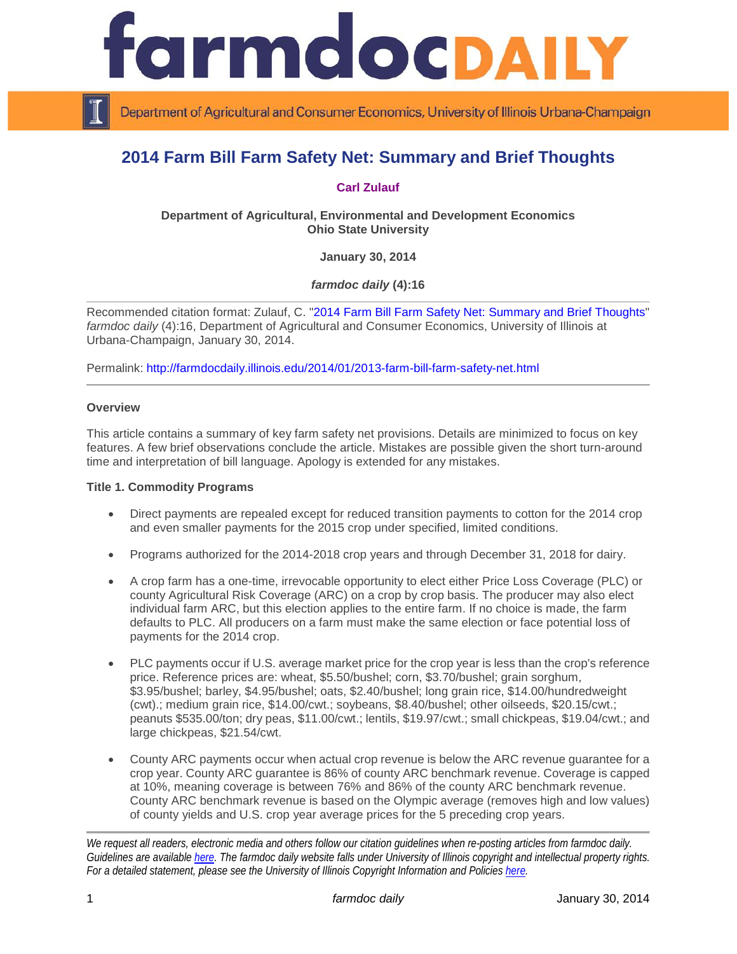

Department of Agricultural and Consumer Economics, University of Illinois Urbana-Champaign

# **2014 Farm Bill Farm Safety Net: Summary and Brief Thoughts**

## **[Carl Zulauf](http://aede.osu.edu/our-people/carl-zulauf)**

**Department of Agricultural, Environmental and Development Economics Ohio State University**

**January 30, 2014**

*farmdoc daily* **(4):16**

Recommended citation format: Zulauf, C. ["2014 Farm Bill Farm Safety Net: Summary and Brief Thoughts"](http://farmdocdaily.illinois.edu/2014/01/2013-farm-bill-farm-safety-net.html) *farmdoc daily* (4):16, Department of Agricultural and Consumer Economics, University of Illinois at Urbana-Champaign, January 30, 2014.

Permalink: <http://farmdocdaily.illinois.edu/2014/01/2013-farm-bill-farm-safety-net.html>

#### **Overview**

This article contains a summary of key farm safety net provisions. Details are minimized to focus on key features. A few brief observations conclude the article. Mistakes are possible given the short turn-around time and interpretation of bill language. Apology is extended for any mistakes.

#### **Title 1. Commodity Programs**

- Direct payments are repealed except for reduced transition payments to cotton for the 2014 crop and even smaller payments for the 2015 crop under specified, limited conditions.
- Programs authorized for the 2014-2018 crop years and through December 31, 2018 for dairy.
- A crop farm has a one-time, irrevocable opportunity to elect either Price Loss Coverage (PLC) or county Agricultural Risk Coverage (ARC) on a crop by crop basis. The producer may also elect individual farm ARC, but this election applies to the entire farm. If no choice is made, the farm defaults to PLC. All producers on a farm must make the same election or face potential loss of payments for the 2014 crop.
- PLC payments occur if U.S. average market price for the crop year is less than the crop's reference price. Reference prices are: wheat, \$5.50/bushel; corn, \$3.70/bushel; grain sorghum, \$3.95/bushel; barley, \$4.95/bushel; oats, \$2.40/bushel; long grain rice, \$14.00/hundredweight (cwt).; medium grain rice, \$14.00/cwt.; soybeans, \$8.40/bushel; other oilseeds, \$20.15/cwt.; peanuts \$535.00/ton; dry peas, \$11.00/cwt.; lentils, \$19.97/cwt.; small chickpeas, \$19.04/cwt.; and large chickpeas, \$21.54/cwt.
- County ARC payments occur when actual crop revenue is below the ARC revenue guarantee for a crop year. County ARC guarantee is 86% of county ARC benchmark revenue. Coverage is capped at 10%, meaning coverage is between 76% and 86% of the county ARC benchmark revenue. County ARC benchmark revenue is based on the Olympic average (removes high and low values) of county yields and U.S. crop year average prices for the 5 preceding crop years.

*We request all readers, electronic media and others follow our citation guidelines when re-posting articles from farmdoc daily. Guidelines are available [here.](http://farmdocdaily.illinois.edu/citationguide.html) The farmdoc daily website falls under University of Illinois copyright and intellectual property rights. For a detailed statement, please see the University of Illinois Copyright Information and Policies [here.](http://www.cio.illinois.edu/policies/copyright/)*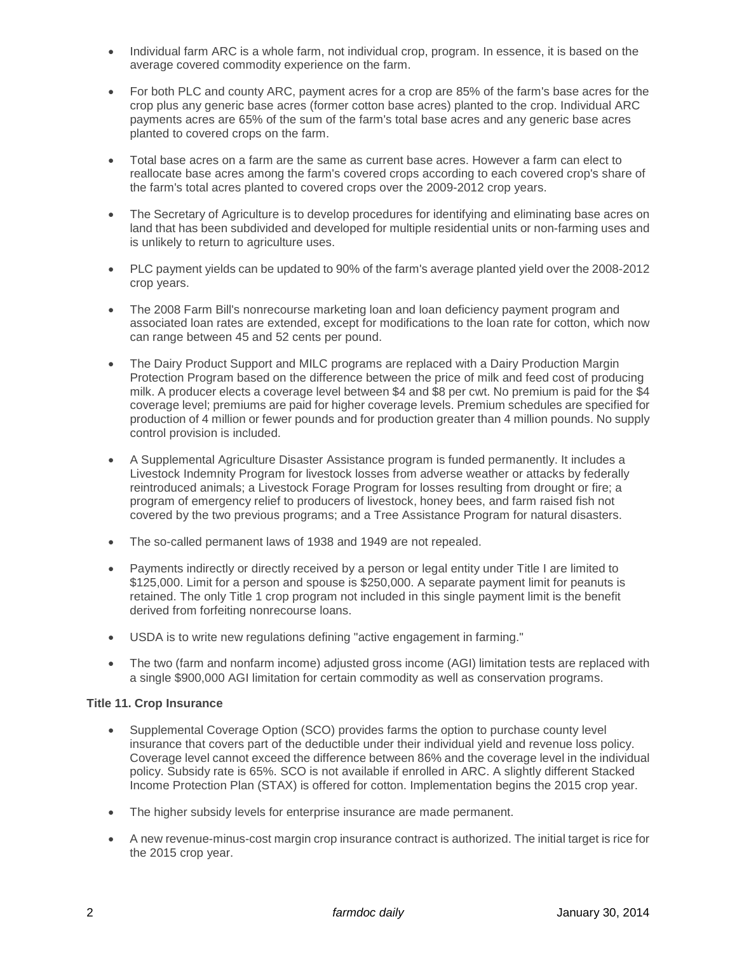- Individual farm ARC is a whole farm, not individual crop, program. In essence, it is based on the average covered commodity experience on the farm.
- For both PLC and county ARC, payment acres for a crop are 85% of the farm's base acres for the crop plus any generic base acres (former cotton base acres) planted to the crop. Individual ARC payments acres are 65% of the sum of the farm's total base acres and any generic base acres planted to covered crops on the farm.
- Total base acres on a farm are the same as current base acres. However a farm can elect to reallocate base acres among the farm's covered crops according to each covered crop's share of the farm's total acres planted to covered crops over the 2009-2012 crop years.
- The Secretary of Agriculture is to develop procedures for identifying and eliminating base acres on land that has been subdivided and developed for multiple residential units or non-farming uses and is unlikely to return to agriculture uses.
- PLC payment yields can be updated to 90% of the farm's average planted yield over the 2008-2012 crop years.
- The 2008 Farm Bill's nonrecourse marketing loan and loan deficiency payment program and associated loan rates are extended, except for modifications to the loan rate for cotton, which now can range between 45 and 52 cents per pound.
- The Dairy Product Support and MILC programs are replaced with a Dairy Production Margin Protection Program based on the difference between the price of milk and feed cost of producing milk. A producer elects a coverage level between \$4 and \$8 per cwt. No premium is paid for the \$4 coverage level; premiums are paid for higher coverage levels. Premium schedules are specified for production of 4 million or fewer pounds and for production greater than 4 million pounds. No supply control provision is included.
- A Supplemental Agriculture Disaster Assistance program is funded permanently. It includes a Livestock Indemnity Program for livestock losses from adverse weather or attacks by federally reintroduced animals; a Livestock Forage Program for losses resulting from drought or fire; a program of emergency relief to producers of livestock, honey bees, and farm raised fish not covered by the two previous programs; and a Tree Assistance Program for natural disasters.
- The so-called permanent laws of 1938 and 1949 are not repealed.
- Payments indirectly or directly received by a person or legal entity under Title I are limited to \$125,000. Limit for a person and spouse is \$250,000. A separate payment limit for peanuts is retained. The only Title 1 crop program not included in this single payment limit is the benefit derived from forfeiting nonrecourse loans.
- USDA is to write new regulations defining "active engagement in farming."
- The two (farm and nonfarm income) adjusted gross income (AGI) limitation tests are replaced with a single \$900,000 AGI limitation for certain commodity as well as conservation programs.

#### **Title 11. Crop Insurance**

- Supplemental Coverage Option (SCO) provides farms the option to purchase county level insurance that covers part of the deductible under their individual yield and revenue loss policy. Coverage level cannot exceed the difference between 86% and the coverage level in the individual policy. Subsidy rate is 65%. SCO is not available if enrolled in ARC. A slightly different Stacked Income Protection Plan (STAX) is offered for cotton. Implementation begins the 2015 crop year.
- The higher subsidy levels for enterprise insurance are made permanent.
- A new revenue-minus-cost margin crop insurance contract is authorized. The initial target is rice for the 2015 crop year.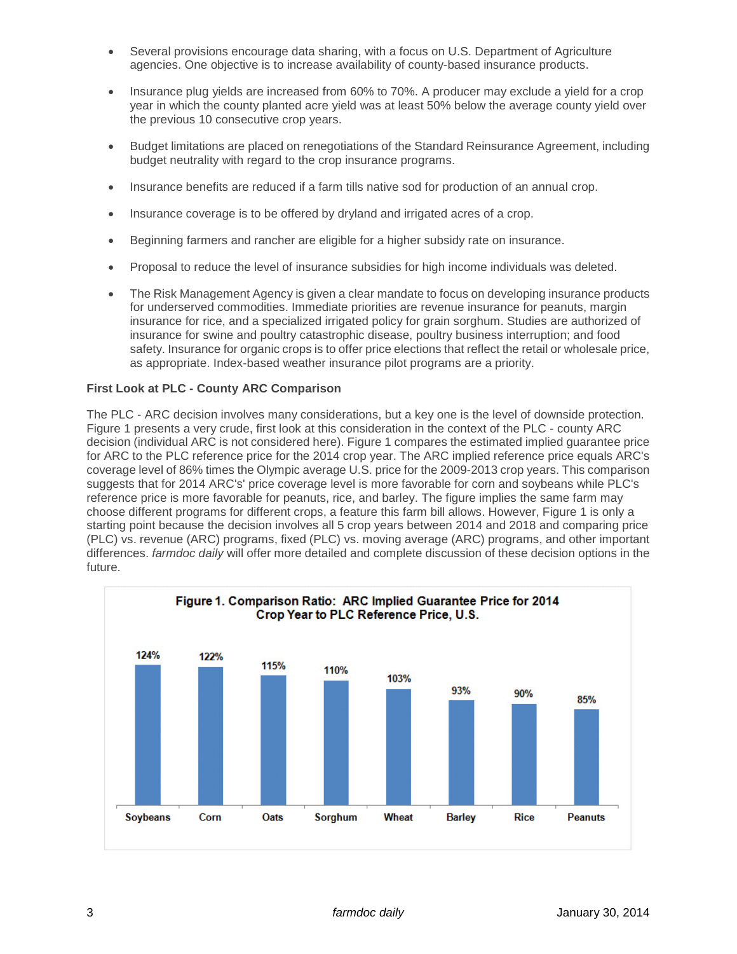- Several provisions encourage data sharing, with a focus on U.S. Department of Agriculture agencies. One objective is to increase availability of county-based insurance products.
- Insurance plug yields are increased from 60% to 70%. A producer may exclude a yield for a crop year in which the county planted acre yield was at least 50% below the average county yield over the previous 10 consecutive crop years.
- Budget limitations are placed on renegotiations of the Standard Reinsurance Agreement, including budget neutrality with regard to the crop insurance programs.
- Insurance benefits are reduced if a farm tills native sod for production of an annual crop.
- Insurance coverage is to be offered by dryland and irrigated acres of a crop.
- Beginning farmers and rancher are eligible for a higher subsidy rate on insurance.
- Proposal to reduce the level of insurance subsidies for high income individuals was deleted.
- The Risk Management Agency is given a clear mandate to focus on developing insurance products for underserved commodities. Immediate priorities are revenue insurance for peanuts, margin insurance for rice, and a specialized irrigated policy for grain sorghum. Studies are authorized of insurance for swine and poultry catastrophic disease, poultry business interruption; and food safety. Insurance for organic crops is to offer price elections that reflect the retail or wholesale price, as appropriate. Index-based weather insurance pilot programs are a priority.

## **First Look at PLC - County ARC Comparison**

The PLC - ARC decision involves many considerations, but a key one is the level of downside protection. Figure 1 presents a very crude, first look at this consideration in the context of the PLC - county ARC decision (individual ARC is not considered here). Figure 1 compares the estimated implied guarantee price for ARC to the PLC reference price for the 2014 crop year. The ARC implied reference price equals ARC's coverage level of 86% times the Olympic average U.S. price for the 2009-2013 crop years. This comparison suggests that for 2014 ARC's' price coverage level is more favorable for corn and soybeans while PLC's reference price is more favorable for peanuts, rice, and barley. The figure implies the same farm may choose different programs for different crops, a feature this farm bill allows. However, Figure 1 is only a starting point because the decision involves all 5 crop years between 2014 and 2018 and comparing price (PLC) vs. revenue (ARC) programs, fixed (PLC) vs. moving average (ARC) programs, and other important differences. *farmdoc daily* will offer more detailed and complete discussion of these decision options in the future.